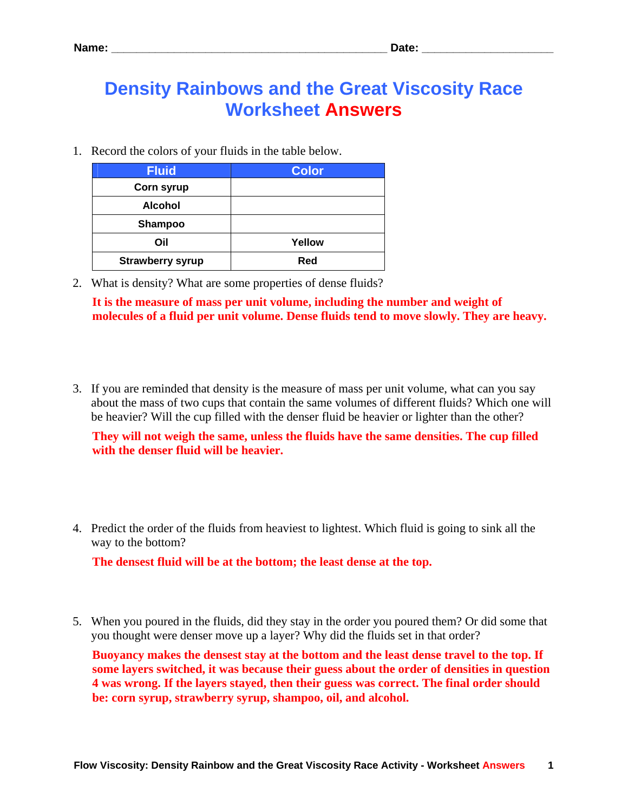## **Density Rainbows and the Great Viscosity Race Worksheet Answers**

1. Record the colors of your fluids in the table below.

| <b>Fluid</b>            | <b>Color</b> |
|-------------------------|--------------|
| <b>Corn syrup</b>       |              |
| <b>Alcohol</b>          |              |
| <b>Shampoo</b>          |              |
| Oil                     | Yellow       |
| <b>Strawberry syrup</b> | Red          |

2. What is density? What are some properties of dense fluids?

**It is the measure of mass per unit volume, including the number and weight of molecules of a fluid per unit volume. Dense fluids tend to move slowly. They are heavy.** 

3. If you are reminded that density is the measure of mass per unit volume, what can you say about the mass of two cups that contain the same volumes of different fluids? Which one will be heavier? Will the cup filled with the denser fluid be heavier or lighter than the other?

**They will not weigh the same, unless the fluids have the same densities. The cup filled with the denser fluid will be heavier.** 

4. Predict the order of the fluids from heaviest to lightest. Which fluid is going to sink all the way to the bottom?

**The densest fluid will be at the bottom; the least dense at the top.** 

5. When you poured in the fluids, did they stay in the order you poured them? Or did some that you thought were denser move up a layer? Why did the fluids set in that order?

**Buoyancy makes the densest stay at the bottom and the least dense travel to the top. If some layers switched, it was because their guess about the order of densities in question 4 was wrong. If the layers stayed, then their guess was correct. The final order should be: corn syrup, strawberry syrup, shampoo, oil, and alcohol.**